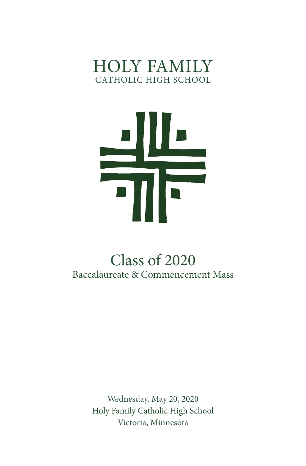# HOLY FAMILY CATHOLIC HIGH SCHOOL



# Class of 2020 Baccalaureate & Commencement Mass

Wednesday, May 20, 2020 Holy Family Catholic High School Victoria, Minnesota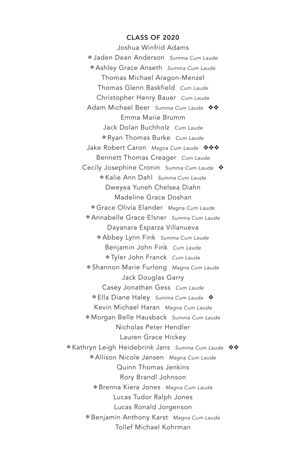### CLASS OF 2020

Joshua Winfrid Adams ] Jaden Dean Anderson *Summa Cum Laude* ] Ashley Grace Anseth *Summa Cum Laude* Thomas Michael Aragon-Menzel Thomas Glenn Baskfield *Cum Laude* Christopher Henry Bauer *Cum Laude* Adam Michael Beer Summa Cum Laude �� Emma Marie Brumm Jack Dolan Buchholz *Cum Laude* ] Ryan Thomas Burke *Cum Laude* Jake Robert Caron Magna Cum Laude <sup>���</sup> Bennett Thomas Creager *Cum Laude* Cecily Josephine Cronin *Summa Cum Laude* v ] Kalie Ann Dahl *Summa Cum Laude* Dweyea Yuneh Chelsea Diahn Madeline Grace Doshan ] Grace Olivia Elander *Magna Cum Laude* ] Annabelle Grace Elsner *Summa Cum Laude* Dayanara Esparza Villanueva ] Abbey Lynn Fink *Summa Cum Laude* Benjamin John Fink *Cum Laude* ] Tyler John Franck *Cum Laude* ] Shannon Marie Furlong *Magna Cum Laude* Jack Douglas Garry Casey Jonathan Gess *Cum Laude* ] Ella Diane Haley *Summa Cum Laude* v Kevin Michael Haran *Magna Cum Laude* ] Morgan Belle Hausback *Summa Cum Laude* Nicholas Peter Hendler Lauren Grace Hickey \* Kathryn Leigh Heidebrink Jans Summa Cum Laude \*\* ] Allison Nicole Jansen *Magna Cum Laude* Quinn Thomas Jenkins Rory Brandl Johnson ] Brenna Kiera Jones *Magna Cum Laude* Lucas Tudor Ralph Jones Lucas Ronald Jorgenson ] Benjamin Anthony Karst *Magna Cum Laude* Tollef Michael Kohrman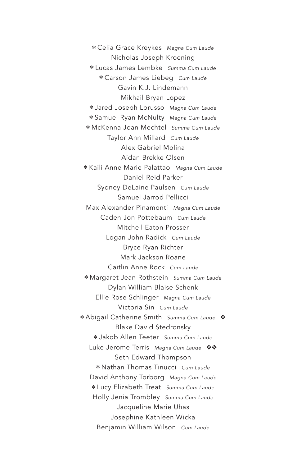] Celia Grace Kreykes *Magna Cum Laude* Nicholas Joseph Kroening ] Lucas James Lembke *Summa Cum Laude* ] Carson James Liebeg *Cum Laude* Gavin K.J. Lindemann Mikhail Bryan Lopez ] Jared Joseph Lorusso *Magna Cum Laude* ] Samuel Ryan McNulty *Magna Cum Laude* ] McKenna Joan Mechtel *Summa Cum Laude* Taylor Ann Millard *Cum Laude* Alex Gabriel Molina Aidan Brekke Olsen ] Kaili Anne Marie Palattao *Magna Cum Laude* Daniel Reid Parker Sydney DeLaine Paulsen *Cum Laude* Samuel Jarrod Pellicci Max Alexander Pinamonti *Magna Cum Laude* Caden Jon Pottebaum *Cum Laude* Mitchell Eaton Prosser Logan John Radick *Cum Laude* Bryce Ryan Richter Mark Jackson Roane Caitlin Anne Rock *Cum Laude* ] Margaret Jean Rothstein *Summa Cum Laude* Dylan William Blaise Schenk Ellie Rose Schlinger *Magna Cum Laude* Victoria Sin *Cum Laude* ] Abigail Catherine Smith *Summa Cum Laude* v Blake David Stedronsky ] Jakob Allen Teeter *Summa Cum Laude* Luke Jerome Terris Magna Cum Laude �� Seth Edward Thompson ] Nathan Thomas Tinucci *Cum Laude* David Anthony Torborg *Magna Cum Laude* ] Lucy Elizabeth Treat *Summa Cum Laude* Holly Jenia Trombley *Summa Cum Laude* Jacqueline Marie Uhas Josephine Kathleen Wicka Benjamin William Wilson *Cum Laude*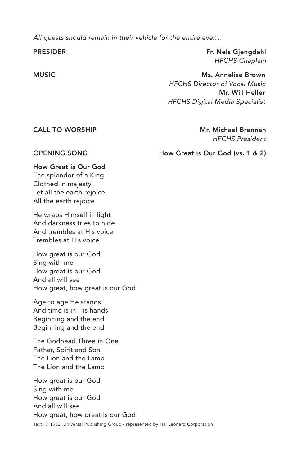*All guests should remain in their vehicle for the entire event.* 

PRESIDER Fr. Nels Gjengdahl *HFCHS Chaplain*

## MUSIC **MUSIC Music Example 2018** Ms. Annelise Brown

 *HFCHS Director of Vocal Music* Mr. Will Heller *HFCHS Digital Media Specialist*

## CALL TO WORSHIP ME MICHAEL Brennan

*HFCHS President* 

### OPENING SONG How Great is Our God (vs. 1 & 2)

### How Great is Our God

The splendor of a King Clothed in majesty Let all the earth rejoice All the earth rejoice

He wraps Himself in light And darkness tries to hide And trembles at His voice Trembles at His voice

How great is our God Sing with me How great is our God And all will see How great, how great is our God

Age to age He stands And time is in His hands Beginning and the end Beginning and the end

The Godhead Three in One Father, Spirit and Son The Lion and the Lamb The Lion and the Lamb

How great is our God Sing with me How great is our God And all will see How great, how great is our God

Text: © 1982, Universal Publishing Group - represented by Hal Leonard Corporation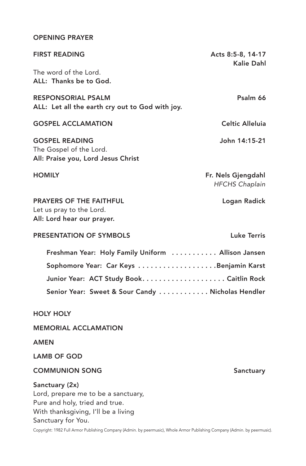### OPENING PRAYER

| <b>FIRST READING</b>                                                                                                                               | Acts 8:5-8, 14-17<br>Kalie Dahl             |
|----------------------------------------------------------------------------------------------------------------------------------------------------|---------------------------------------------|
| The word of the Lord.<br>ALL: Thanks be to God.                                                                                                    |                                             |
| <b>RESPONSORIAL PSALM</b><br>ALL: Let all the earth cry out to God with joy.                                                                       | Psalm 66                                    |
| <b>GOSPEL ACCLAMATION</b>                                                                                                                          | Celtic Alleluia                             |
| <b>GOSPEL READING</b><br>The Gospel of the Lord.<br>All: Praise you, Lord Jesus Christ                                                             | John 14:15-21                               |
| <b>HOMILY</b>                                                                                                                                      | Fr. Nels Gjengdahl<br><b>HFCHS Chaplain</b> |
| <b>PRAYERS OF THE FAITHFUL</b><br>Let us pray to the Lord.<br>All: Lord hear our prayer.                                                           | Logan Radick                                |
| <b>PRESENTATION OF SYMBOLS</b>                                                                                                                     | Luke Terris                                 |
| Freshman Year: Holy Family Uniform  Allison Jansen<br>Sophomore Year: Car Keys Benjamin Karst<br>Senior Year: Sweet & Sour Candy  Nicholas Hendler |                                             |
| <b>HOLY HOLY</b>                                                                                                                                   |                                             |
| <b>MEMORIAL ACCLAMATION</b>                                                                                                                        |                                             |
| <b>AMEN</b>                                                                                                                                        |                                             |
| <b>LAMB OF GOD</b>                                                                                                                                 |                                             |
| <b>COMMUNION SONG</b>                                                                                                                              | Sanctuary                                   |
| Sanctuary (2x)<br>Lord, prepare me to be a sanctuary,<br>Pure and holy, tried and true.<br>With thanksgiving, I'll be a living                     |                                             |

Sanctuary for You.

Copyright: 1982 Full Armor Publishing Company (Admin. by peermusic), Whole Armor Publishing Company (Admin. by peermusic).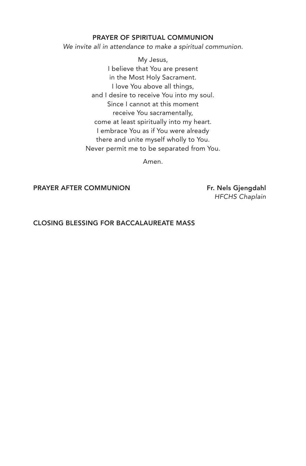### PRAYER OF SPIRITUAL COMMUNION

*We invite all in attendance to make a spiritual communion.*

My Jesus, I believe that You are present in the Most Holy Sacrament. I love You above all things, and I desire to receive You into my soul. Since I cannot at this moment receive You sacramentally, come at least spiritually into my heart. I embrace You as if You were already there and unite myself wholly to You. Never permit me to be separated from You.

Amen.

PRAYER AFTER COMMUNION Fr. Nels Gjengdahl

*HFCHS Chaplain*

CLOSING BLESSING FOR BACCALAUREATE MASS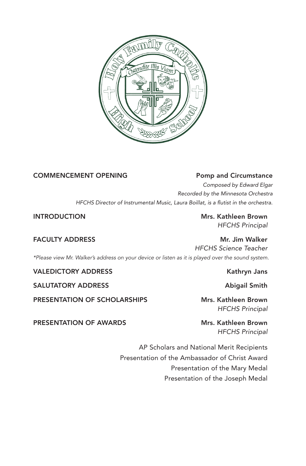

### COMMENCEMENT OPENING Pomp and Circumstance

*Composed by Edward Elgar Recorded by the Minnesota Orchestra*  HFCHS Director of Instrumental Music, Laura Boillat, is a flutist in the orchestra.

**INTRODUCTION Mrs. Kathleen Brown** *HFCHS Principal*

FACULTY ADDRESS Mr. Jim Walker *HFCHS Science Teacher \*Please view Mr. Walker's address on your device or listen as it is played over the sound system.*

VALEDICTORY ADDRESS Kathryn Jans

SALUTATORY ADDRESS Abigail Smith

PRESENTATION OF SCHOLARSHIPS Mrs. Kathleen Brown

PRESENTATION OF AWARDS Mrs. Kathleen Brown

*HFCHS Principal*

*HFCHS Principal*

AP Scholars and National Merit Recipients Presentation of the Ambassador of Christ Award Presentation of the Mary Medal Presentation of the Joseph Medal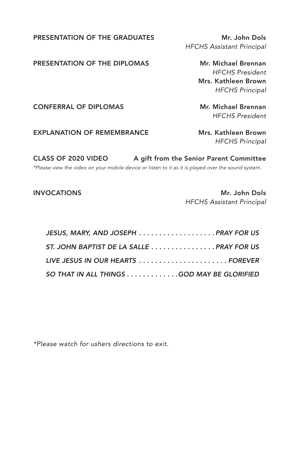PRESENTATION OF THE GRADUATES Mr. John Dols

*HFCHS Assistant Principal*

PRESENTATION OF THE DIPLOMAS Mr. Michael Brennan

 *HFCHS President* Mrs. Kathleen Brown *HFCHS Principal*

CONFERRAL OF DIPLOMAS Mr. Michael Brennan

EXPLANATION OF REMEMBRANCE Mrs. Kathleen Brown

*HFCHS Principal*

*HFCHS President*

CLASS OF 2020 VIDEO A gift from the Senior Parent Committee *\*Please view the video on your mobile device or listen to it as it is played over the sound system.*

INVOCATIONS Mr. John Dols *HFCHS Assistant Principal*

| ST. JOHN BAPTIST DE LA SALLE PRAY FOR US   |  |
|--------------------------------------------|--|
|                                            |  |
| SO THAT IN ALL THINGS GOD MAY BE GLORIFIED |  |

*\*Please watch for ushers directions to exit.*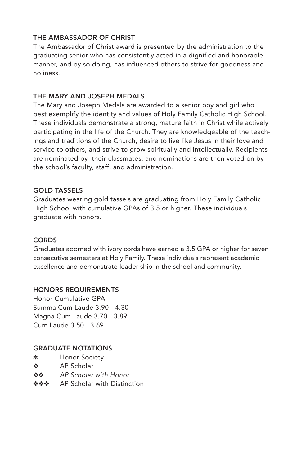### THE AMBASSADOR OF CHRIST

The Ambassador of Christ award is presented by the administration to the graduating senior who has consistently acted in a dignified and honorable manner, and by so doing, has influenced others to strive for goodness and holiness.

### THE MARY AND JOSEPH MEDALS

The Mary and Joseph Medals are awarded to a senior boy and girl who best exemplify the identity and values of Holy Family Catholic High School. These individuals demonstrate a strong, mature faith in Christ while actively participating in the life of the Church. They are knowledgeable of the teachings and traditions of the Church, desire to live like Jesus in their love and service to others, and strive to grow spiritually and intellectually. Recipients are nominated by their classmates, and nominations are then voted on by the school's faculty, staff, and administration.

### GOLD TASSELS

Graduates wearing gold tassels are graduating from Holy Family Catholic High School with cumulative GPAs of 3.5 or higher. These individuals graduate with honors.

### **CORDS**

Graduates adorned with ivory cords have earned a 3.5 GPA or higher for seven consecutive semesters at Holy Family. These individuals represent academic excellence and demonstrate leader-ship in the school and community.

### HONORS REQUIREMENTS

Honor Cumulative GPA Summa Cum Laude 3.90 - 4.30 Magna Cum Laude 3.70 - 3.89 Cum Laude 3.50 - 3.69

### GRADUATE NOTATIONS

- \* Honor Society
- ◆ AP Scholar
- $\triangle$  **<sup>◆</sup>** *AP Scholar with Honor*
- **◇◇◇** AP Scholar with Distinction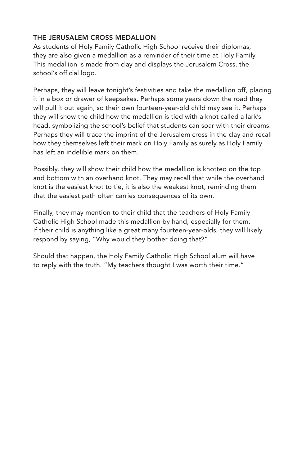### THE JERUSALEM CROSS MEDALLION

As students of Holy Family Catholic High School receive their diplomas, they are also given a medallion as a reminder of their time at Holy Family. This medallion is made from clay and displays the Jerusalem Cross, the school's official logo.

Perhaps, they will leave tonight's festivities and take the medallion off, placing it in a box or drawer of keepsakes. Perhaps some years down the road they will pull it out again, so their own fourteen-year-old child may see it. Perhaps they will show the child how the medallion is tied with a knot called a lark's head, symbolizing the school's belief that students can soar with their dreams. Perhaps they will trace the imprint of the Jerusalem cross in the clay and recall how they themselves left their mark on Holy Family as surely as Holy Family has left an indelible mark on them.

Possibly, they will show their child how the medallion is knotted on the top and bottom with an overhand knot. They may recall that while the overhand knot is the easiest knot to tie, it is also the weakest knot, reminding them that the easiest path often carries consequences of its own.

Finally, they may mention to their child that the teachers of Holy Family Catholic High School made this medallion by hand, especially for them. If their child is anything like a great many fourteen-year-olds, they will likely respond by saying, "Why would they bother doing that?"

Should that happen, the Holy Family Catholic High School alum will have to reply with the truth. "My teachers thought I was worth their time."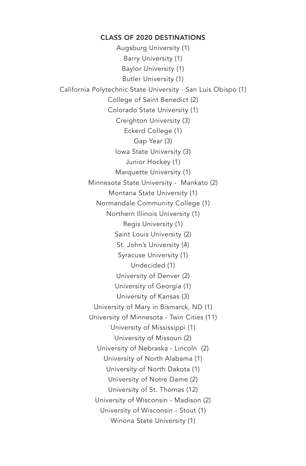### CLASS OF 2020 DESTINATIONS

Augsburg University (1) Barry University (1) Baylor University (1) Butler University (1) California Polytechnic State University - San Luis Obispo (1) College of Saint Benedict (2) Colorado State University (1) Creighton University (3) Eckerd College (1) Gap Year (3) Iowa State University (3) Junior Hockey (1) Marquette University (1) Minnesota State University - Mankato (2) Montana State University (1) Normandale Community College (1) Northern Illinois University (1) Regis University (1) Saint Louis University (2) St. John's University (4) Syracuse University (1) Undecided (1) University of Denver (2) University of Georgia (1) University of Kansas (3) University of Mary in Bismarck, ND (1) University of Minnesota - Twin Cities (11) University of Mississippi (1) University of Missouri (2) University of Nebraska - Lincoln (2) University of North Alabama (1) University of North Dakota (1) University of Notre Dame (2) University of St. Thomas (12) University of Wisconsin - Madison (2) University of Wisconsin - Stout (1) Winona State University (1)